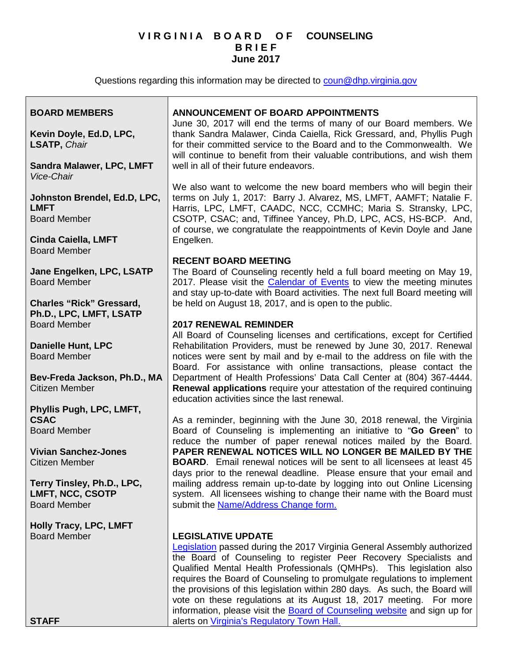## **V I R G I N I A B O A R D O F COUNSELING B R I E F June 2017**

Questions regarding this information may be directed to [coun@dhp.virginia.gov](mailto:coun@dhp.virginia.gov)

#### **BOARD MEMBERS Kevin Doyle, Ed.D, LPC, LSATP,** *Chair* **Sandra Malawer, LPC, LMFT** *Vice-Chair* **Johnston Brendel, Ed.D, LPC, LMFT** Board Member **Cinda Caiella, LMFT** Board Member **Jane Engelken, LPC, LSATP** Board Member **Charles "Rick" Gressard, Ph.D., LPC, LMFT, LSATP** Board Member **Danielle Hunt, LPC** Board Member **Bev-Freda Jackson, Ph.D., MA** Citizen Member **Phyllis Pugh, LPC, LMFT, CSAC** Board Member **Vivian Sanchez-Jones** Citizen Member **Terry Tinsley, Ph.D., LPC, LMFT, NCC, CSOTP** Board Member **Holly Tracy, LPC, LMFT** Board Member **STAFF ANNOUNCEMENT OF BOARD APPOINTMENTS** June 30, 2017 will end the terms of many of our Board members. We thank Sandra Malawer, Cinda Caiella, Rick Gressard, and, Phyllis Pugh for their committed service to the Board and to the Commonwealth. We will continue to benefit from their valuable contributions, and wish them well in all of their future endeavors. We also want to welcome the new board members who will begin their terms on July 1, 2017: Barry J. Alvarez, MS, LMFT, AAMFT; Natalie F. Harris, LPC, LMFT, CAADC, NCC, CCMHC; Maria S. Stransky, LPC, CSOTP, CSAC; and, Tiffinee Yancey, Ph.D, LPC, ACS, HS-BCP. And, of course, we congratulate the reappointments of Kevin Doyle and Jane Engelken. **RECENT BOARD MEETING** The Board of Counseling recently held a full board meeting on May 19, 2017. Please visit the [Calendar of Events](http://www.dhp.virginia.gov/counseling/counseling_calendar.htm) to view the meeting minutes and stay up-to-date with Board activities. The next full Board meeting will be held on August 18, 2017, and is open to the public. **2017 RENEWAL REMINDER** All Board of Counseling licenses and certifications, except for Certified Rehabilitation Providers, must be renewed by June 30, 2017. Renewal notices were sent by mail and by e-mail to the address on file with the Board. For assistance with online transactions, please contact the Department of Health Professions' Data Call Center at (804) 367-4444. **Renewal applications** require your attestation of the required continuing education activities since the last renewal. As a reminder, beginning with the June 30, 2018 renewal, the Virginia Board of Counseling is implementing an initiative to "**Go Green**" to reduce the number of paper renewal notices mailed by the Board. **PAPER RENEWAL NOTICES WILL NO LONGER BE MAILED BY THE BOARD**. Email renewal notices will be sent to all licensees at least 45 days prior to the renewal deadline. Please ensure that your email and mailing address remain up-to-date by logging into out Online Licensing system. All licensees wishing to change their name with the Board must submit [the Name/Address Change form.](http://www.dhp.virginia.gov/counseling/counseling_forms.htm) **LEGISLATIVE UPDATE [Legislation](http://lis.virginia.gov/cgi-bin/legp604.exe?ses=171&typ=bil&val=hb2095&submit=GO)** passed during the 2017 Virginia General Assembly authorized the Board of Counseling to register Peer Recovery Specialists and Qualified Mental Health Professionals (QMHPs). This legislation also requires the Board of Counseling to promulgate regulations to implement the provisions of this legislation within 280 days. As such, the Board will vote on these regulations at its August 18, 2017 meeting. For more information, please visit the [Board of Counseling website](http://www.dhp.virginia.gov/counseling/) and sign up for alerts on [Virginia's Regulatory Town Hall.](http://www.townhall.virginia.gov/)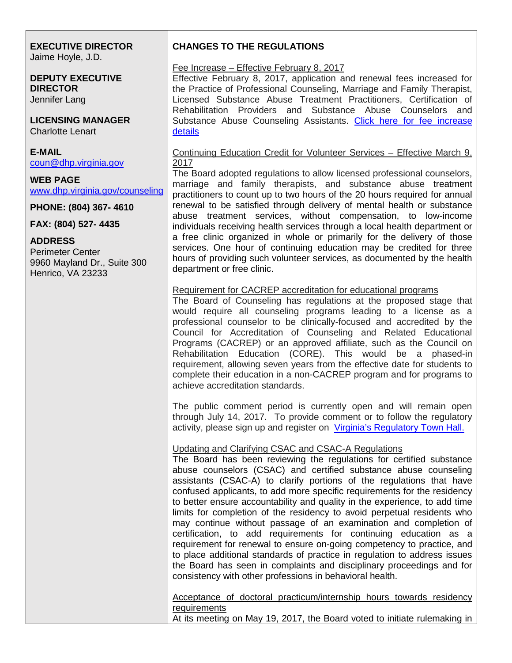#### **EXECUTIVE DIRECTOR** Jaime Hoyle, J.D.

**DEPUTY EXECUTIVE DIRECTOR** Jennifer Lang

**LICENSING MANAGER** Charlotte Lenart

**E-MAIL** [coun@dhp.virginia.gov](mailto:coun@dhp.virginia.gov)

**WEB PAGE** [www.dhp.virginia.gov/counseling](http://www.dhp.virginia.gov/counseling)

**PHONE: (804) 367- 4610**

**FAX: (804) 527- 4435**

## **ADDRESS**

Perimeter Center 9960 Mayland Dr., Suite 300 Henrico, VA 23233

# **CHANGES TO THE REGULATIONS**

#### Fee Increase – Effective February 8, 2017

Effective February 8, 2017, application and renewal fees increased for the Practice of Professional Counseling, Marriage and Family Therapist, Licensed Substance Abuse Treatment Practitioners, Certification of Rehabilitation Providers and Substance Abuse Counselors and Substance Abuse Counseling Assistants. Click here for fee increase [details](http://www.dhp.virginia.gov/counseling/leg/Fees_Effective02082017.pdf)

Continuing Education Credit for Volunteer Services – Effective March 9, 2017

The Board adopted regulations to allow licensed professional counselors, marriage and family therapists, and substance abuse treatment practitioners to count up to two hours of the 20 hours required for annual renewal to be satisfied through delivery of mental health or substance abuse treatment services, without compensation, to low-income individuals receiving health services through a local health department or a free clinic organized in whole or primarily for the delivery of those services. One hour of continuing education may be credited for three hours of providing such volunteer services, as documented by the health department or free clinic.

## Requirement for CACREP accreditation for educational programs

The Board of Counseling has regulations at the proposed stage that would require all counseling programs leading to a license as a professional counselor to be clinically-focused and accredited by the Council for Accreditation of Counseling and Related Educational Programs (CACREP) or an approved affiliate, such as the Council on Rehabilitation Education (CORE). This would be a phased-in requirement, allowing seven years from the effective date for students to complete their education in a non-CACREP program and for programs to achieve accreditation standards.

The public comment period is currently open and will remain open through July 14, 2017. To provide comment or to follow the regulatory activity, please sign up and register on [Virginia's Regulatory Town Hall.](http://www.townhall.virginia.gov/)

Updating and Clarifying CSAC and CSAC-A Regulations

The Board has been reviewing the regulations for certified substance abuse counselors (CSAC) and certified substance abuse counseling assistants (CSAC-A) to clarify portions of the regulations that have confused applicants, to add more specific requirements for the residency to better ensure accountability and quality in the experience, to add time limits for completion of the residency to avoid perpetual residents who may continue without passage of an examination and completion of certification, to add requirements for continuing education as a requirement for renewal to ensure on-going competency to practice, and to place additional standards of practice in regulation to address issues the Board has seen in complaints and disciplinary proceedings and for consistency with other professions in behavioral health.

Acceptance of doctoral practicum/internship hours towards residency **requirements** 

At its meeting on May 19, 2017, the Board voted to initiate rulemaking in